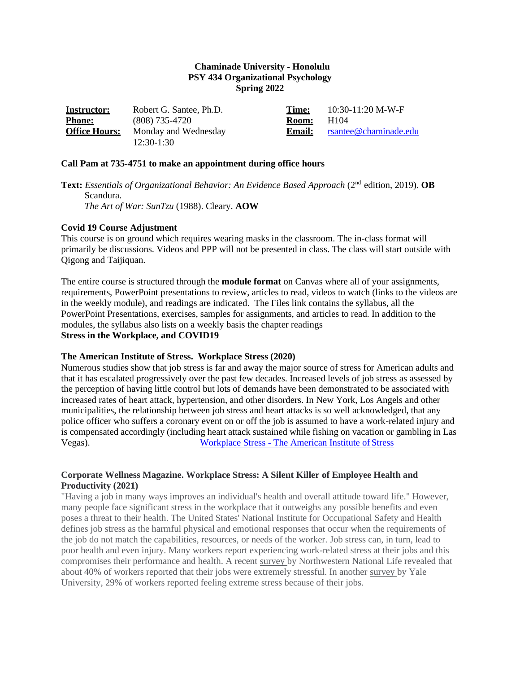### **Chaminade University - Honolulu PSY 434 Organizational Psychology Spring 2022**

| <b>Instructor:</b>   | Robert G. Santee, Ph.D. | Time:         | $10:30-11:20$ M-W-F   |
|----------------------|-------------------------|---------------|-----------------------|
| <b>Phone:</b>        | $(808)$ 735-4720        | <b>Room:</b>  | H104                  |
| <b>Office Hours:</b> | Monday and Wednesday    | <b>Email:</b> | rsantee@chaminade.edu |
|                      | $12:30-1:30$            |               |                       |

#### **Call Pam at 735-4751 to make an appointment during office hours**

**Text:** *Essentials of Organizational Behavior: An Evidence Based Approach* (2nd edition, 2019). **OB** Scandura. *The Art of War: SunTzu* (1988). Cleary. **AOW**

#### **Covid 19 Course Adjustment**

This course is on ground which requires wearing masks in the classroom. The in-class format will primarily be discussions. Videos and PPP will not be presented in class. The class will start outside with Qigong and Taijiquan.

The entire course is structured through the **module format** on Canvas where all of your assignments, requirements, PowerPoint presentations to review, articles to read, videos to watch (links to the videos are in the weekly module), and readings are indicated. The Files link contains the syllabus, all the PowerPoint Presentations, exercises, samples for assignments, and articles to read. In addition to the modules, the syllabus also lists on a weekly basis the chapter readings **Stress in the Workplace, and COVID19**

#### **The American Institute of Stress. Workplace Stress (2020)**

Numerous studies show that job stress is far and away the major source of stress for American adults and that it has escalated progressively over the past few decades. Increased levels of job stress as assessed by the perception of having little control but lots of demands have been demonstrated to be associated with increased rates of heart attack, hypertension, and other disorders. In New York, Los Angels and other municipalities, the relationship between job stress and heart attacks is so well acknowledged, that any police officer who suffers a coronary event on or off the job is assumed to have a work-related injury and is compensated accordingly (including heart attack sustained while fishing on vacation or gambling in Las Vegas). Workplace Stress - [The American Institute of](https://www.stress.org/workplace-stress) Stress

# **Corporate Wellness Magazine. Workplace Stress: A Silent Killer of Employee Health and Productivity (2021)**

"Having a job in many ways improves an individual's health and overall attitude toward life." However, many people face significant stress in the workplace that it outweighs any possible benefits and even poses a threat to their health. The United States' National Institute for Occupational Safety and Health defines job stress as the harmful physical and emotional responses that occur when the requirements of the job do not match the capabilities, resources, or needs of the worker. Job stress can, in turn, lead to poor health and even injury. Many workers report experiencing work-related stress at their jobs and this compromises their performance and health. A recent [survey b](https://www.corporatewellnessmagazine.com/article/workplace-stress-silent-killer-employee-health-productivity)y Northwestern National Life revealed that about 40% of workers reported that their jobs were extremely stressful. In another [survey b](https://www.corporatewellnessmagazine.com/article/workplace-stress-silent-killer-employee-health-productivity)y Yale University, 29% of workers reported feeling extreme stress because of their jobs.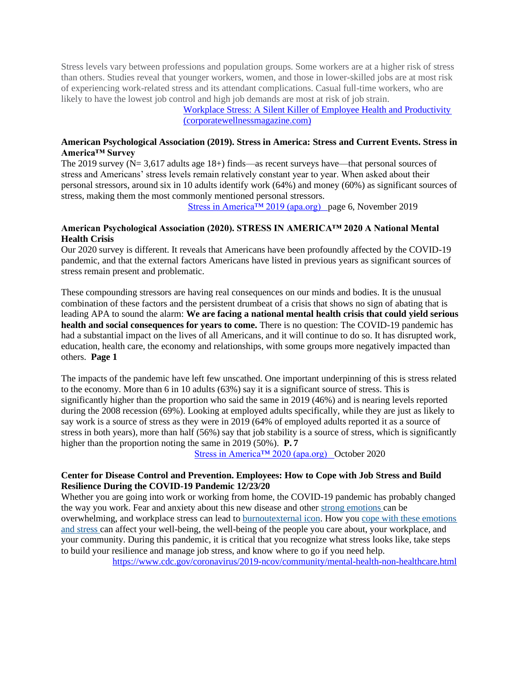Stress levels vary between professions and population groups. Some workers are at a higher risk of stress than others. Studies reveal that younger workers, women, and those in lower-skilled jobs are at most risk of experiencing work-related stress and its attendant complications. Casual full-time workers, who are likely to have the lowest job control and high job demands are most at risk of job strain.

[Workplace Stress: A Silent Killer of Employee Health and Productivity](https://www.corporatewellnessmagazine.com/article/workplace-stress-silent-killer-employee-health-productivity#%3A%7E%3Atext%3DWorkplace%20stress%20also%20has%20adverse%2Cabuse%2C%20and%20poor%20dietary%20patterns) [\(corporatewellnessmagazine.com\)](https://www.corporatewellnessmagazine.com/article/workplace-stress-silent-killer-employee-health-productivity#%3A%7E%3Atext%3DWorkplace%20stress%20also%20has%20adverse%2Cabuse%2C%20and%20poor%20dietary%20patterns)

### **American Psychological Association (2019). Stress in America: Stress and Current Events. Stress in America™ Survey**

The 2019 survey (N= 3,617 adults age 18+) finds—as recent surveys have—that personal sources of stress and Americans' stress levels remain relatively constant year to year. When asked about their personal stressors, around six in 10 adults identify work (64%) and money (60%) as significant sources of stress, making them the most commonly mentioned personal stressors.

[Stress in America™ 2019 \(apa.org\)](https://www.apa.org/news/press/releases/stress/2019/stress-america-2019.pdf) page 6, November 2019

# **American Psychological Association (2020). STRESS IN AMERICA™ 2020 A National Mental Health Crisis**

Our 2020 survey is different. It reveals that Americans have been profoundly affected by the COVID-19 pandemic, and that the external factors Americans have listed in previous years as significant sources of stress remain present and problematic.

These compounding stressors are having real consequences on our minds and bodies. It is the unusual combination of these factors and the persistent drumbeat of a crisis that shows no sign of abating that is leading APA to sound the alarm: **We are facing a national mental health crisis that could yield serious**  health and social consequences for years to come. There is no question: The COVID-19 pandemic has had a substantial impact on the lives of all Americans, and it will continue to do so. It has disrupted work, education, health care, the economy and relationships, with some groups more negatively impacted than others. **Page 1**

The impacts of the pandemic have left few unscathed. One important underpinning of this is stress related to the economy. More than 6 in 10 adults (63%) say it is a significant source of stress. This is significantly higher than the proportion who said the same in 2019 (46%) and is nearing levels reported during the 2008 recession (69%). Looking at employed adults specifically, while they are just as likely to say work is a source of stress as they were in 2019 (64% of employed adults reported it as a source of stress in both years), more than half (56%) say that job stability is a source of stress, which is significantly higher than the proportion noting the same in 2019 (50%). **P. 7**

[Stress in America™ 2020 \(apa.org\)](https://www.apa.org/news/press/releases/stress/2020/sia-mental-health-crisis.pdf) October 2020

# **Center for Disease Control and Prevention. Employees: How to Cope with Job Stress and Build Resilience During the COVID-19 Pandemic 12/23/20**

Whether you are going into work or working from home, the COVID-19 pandemic has probably changed the way you work. Fear and anxiety about this new disease and other [strong emotions c](https://emergency.cdc.gov/coping/selfcare.asp)an be overwhelming, and workplace stress can lead to [burnoutexternal icon.](https://www.who.int/mental_health/evidence/burn-out/en/) How you [cope with these emotions](https://www.cdc.gov/coronavirus/2019-ncov/daily-life-coping/stress-coping/care-for-yourself.html) [and stress c](https://www.cdc.gov/coronavirus/2019-ncov/daily-life-coping/stress-coping/care-for-yourself.html)an affect your well-being, the well-being of the people you care about, your workplace, and your community. During this pandemic, it is critical that you recognize what stress looks like, take steps to build your resilience and manage job stress, and know where to go if you need help.

<https://www.cdc.gov/coronavirus/2019-ncov/community/mental-health-non-healthcare.html>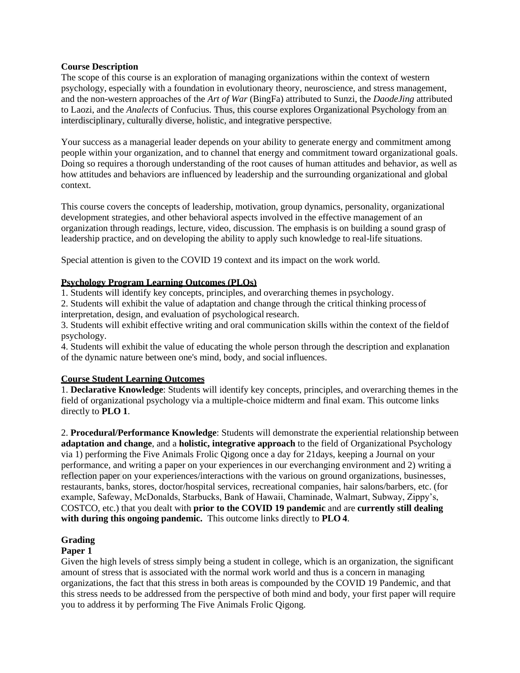# **Course Description**

The scope of this course is an exploration of managing organizations within the context of western psychology, especially with a foundation in evolutionary theory, neuroscience, and stress management, and the non-western approaches of the *Art of War* (BingFa) attributed to Sunzi, the *DaodeJing* attributed to Laozi, and the *Analects* of Confucius. Thus, this course explores Organizational Psychology from an interdisciplinary, culturally diverse, holistic, and integrative perspective.

Your success as a managerial leader depends on your ability to generate energy and commitment among people within your organization, and to channel that energy and commitment toward organizational goals. Doing so requires a thorough understanding of the root causes of human attitudes and behavior, as well as how attitudes and behaviors are influenced by leadership and the surrounding organizational and global context.

This course covers the concepts of leadership, motivation, group dynamics, personality, organizational development strategies, and other behavioral aspects involved in the effective management of an organization through readings, lecture, video, discussion. The emphasis is on building a sound grasp of leadership practice, and on developing the ability to apply such knowledge to real-life situations.

Special attention is given to the COVID 19 context and its impact on the work world.

# **Psychology Program Learning Outcomes (PLOs)**

1. Students will identify key concepts, principles, and overarching themes in psychology.

2. Students will exhibit the value of adaptation and change through the critical thinking processof interpretation, design, and evaluation of psychological research.

3. Students will exhibit effective writing and oral communication skills within the context of the fieldof psychology.

4. Students will exhibit the value of educating the whole person through the description and explanation of the dynamic nature between one's mind, body, and social influences.

# **Course Student Learning Outcomes**

1. **Declarative Knowledge**: Students will identify key concepts, principles, and overarching themes in the field of organizational psychology via a multiple-choice midterm and final exam. This outcome links directly to **PLO 1**.

2. **Procedural/Performance Knowledge**: Students will demonstrate the experiential relationship between **adaptation and change**, and a **holistic, integrative approach** to the field of Organizational Psychology via 1) performing the Five Animals Frolic Qigong once a day for 21days, keeping a Journal on your performance, and writing a paper on your experiences in our everchanging environment and 2) writing a reflection paper on your experiences/interactions with the various on ground organizations, businesses, restaurants, banks, stores, doctor/hospital services, recreational companies, hair salons/barbers, etc. (for example, Safeway, McDonalds, Starbucks, Bank of Hawaii, Chaminade, Walmart, Subway, Zippy's, COSTCO, etc.) that you dealt with **prior to the COVID 19 pandemic** and are **currently still dealing with during this ongoing pandemic.** This outcome links directly to **PLO 4**.

# **Grading**

# **Paper 1**

Given the high levels of stress simply being a student in college, which is an organization, the significant amount of stress that is associated with the normal work world and thus is a concern in managing organizations, the fact that this stress in both areas is compounded by the COVID 19 Pandemic, and that this stress needs to be addressed from the perspective of both mind and body, your first paper will require you to address it by performing The Five Animals Frolic Qigong.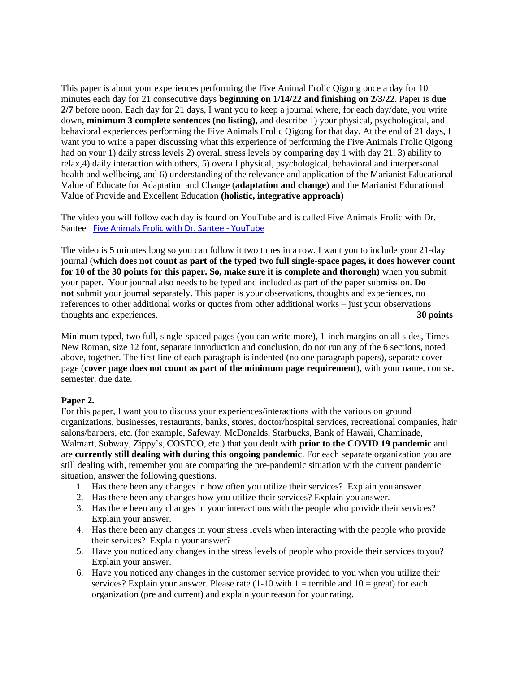This paper is about your experiences performing the Five Animal Frolic Qigong once a day for 10 minutes each day for 21 consecutive days **beginning on 1/14/22 and finishing on 2/3/22.** Paper is **due 2/7** before noon. Each day for 21 days, I want you to keep a journal where, for each day/date, you write down, **minimum 3 complete sentences (no listing),** and describe 1) your physical, psychological, and behavioral experiences performing the Five Animals Frolic Qigong for that day. At the end of 21 days, I want you to write a paper discussing what this experience of performing the Five Animals Frolic Qigong had on your 1) daily stress levels 2) overall stress levels by comparing day 1 with day 21, 3) ability to relax,4) daily interaction with others, 5) overall physical, psychological, behavioral and interpersonal health and wellbeing, and 6) understanding of the relevance and application of the Marianist Educational Value of Educate for Adaptation and Change (**adaptation and change**) and the Marianist Educational Value of Provide and Excellent Education **(holistic, integrative approach)**

The video you will follow each day is found on YouTube and is called Five Animals Frolic with Dr. Santee [Five Animals Frolic with Dr. Santee -](https://www.youtube.com/watch?v=x5RELL84J4E) YouTube

The video is 5 minutes long so you can follow it two times in a row. I want you to include your 21-day journal (**which does not count as part of the typed two full single-space pages, it does however count for 10 of the 30 points for this paper. So, make sure it is complete and thorough)** when you submit your paper. Your journal also needs to be typed and included as part of the paper submission. **Do not** submit your journal separately. This paper is your observations, thoughts and experiences, no references to other additional works or quotes from other additional works – just your observations thoughts and experiences. **30 points**

Minimum typed, two full, single-spaced pages (you can write more), 1-inch margins on all sides, Times New Roman, size 12 font, separate introduction and conclusion, do not run any of the 6 sections, noted above, together. The first line of each paragraph is indented (no one paragraph papers), separate cover page (**cover page does not count as part of the minimum page requirement**), with your name, course, semester, due date.

# **Paper 2.**

For this paper, I want you to discuss your experiences/interactions with the various on ground organizations, businesses, restaurants, banks, stores, doctor/hospital services, recreational companies, hair salons/barbers, etc. (for example, Safeway, McDonalds, Starbucks, Bank of Hawaii, Chaminade, Walmart, Subway, Zippy's, COSTCO, etc.) that you dealt with **prior to the COVID 19 pandemic** and are **currently still dealing with during this ongoing pandemic**. For each separate organization you are still dealing with, remember you are comparing the pre-pandemic situation with the current pandemic situation, answer the following questions.

- 1. Has there been any changes in how often you utilize their services? Explain you answer.
- 2. Has there been any changes how you utilize their services? Explain you answer.
- 3. Has there been any changes in your interactions with the people who provide their services? Explain your answer.
- 4. Has there been any changes in your stress levels when interacting with the people who provide their services? Explain your answer?
- 5. Have you noticed any changes in the stress levels of people who provide their services to you? Explain your answer.
- 6. Have you noticed any changes in the customer service provided to you when you utilize their services? Explain your answer. Please rate  $(1-10$  with  $1 =$  terrible and  $10 =$  great) for each organization (pre and current) and explain your reason for your rating.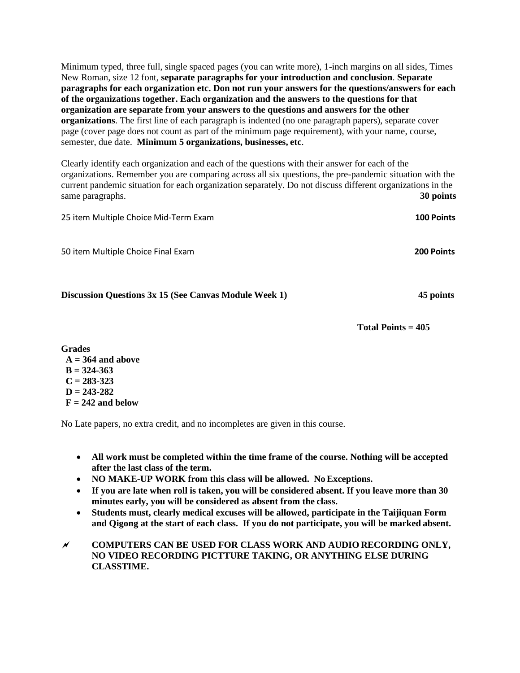Minimum typed, three full, single spaced pages (you can write more), 1-inch margins on all sides, Times New Roman, size 12 font, **separate paragraphs for your introduction and conclusion**. **Separate paragraphs for each organization etc. Don not run your answers for the questions/answers for each of the organizations together. Each organization and the answers to the questions for that organization are separate from your answers to the questions and answers for the other organizations**. The first line of each paragraph is indented (no one paragraph papers), separate cover page (cover page does not count as part of the minimum page requirement), with your name, course, semester, due date. **Minimum 5 organizations, businesses, etc**.

Clearly identify each organization and each of the questions with their answer for each of the organizations. Remember you are comparing across all six questions, the pre-pandemic situation with the current pandemic situation for each organization separately. Do not discuss different organizations in the same paragraphs. **30 points** 

| 25 item Multiple Choice Mid-Term Exam                 | <b>100 Points</b> |
|-------------------------------------------------------|-------------------|
| 50 item Multiple Choice Final Exam                    | 200 Points        |
| Discussion Questions 3x 15 (See Canvas Module Week 1) | 45 points         |

**Total Points = 405**

**Grades A = 364 and above B = 324-363 C = 283-323 D = 243-282 F = 242 and below** 

No Late papers, no extra credit, and no incompletes are given in this course.

- **All work must be completed within the time frame of the course. Nothing will be accepted after the last class of the term.**
- **NO MAKE-UP WORK from this class will be allowed. NoExceptions.**
- **If you are late when roll is taken, you will be considered absent. If you leave more than 30 minutes early, you will be considered as absent from the class.**
- **Students must, clearly medical excuses will be allowed, participate in the Taijiquan Form and Qigong at the start of each class. If you do not participate, you will be marked absent.**
- **COMPUTERS CAN BE USED FOR CLASS WORK AND AUDIO RECORDING ONLY, NO VIDEO RECORDING PICTTURE TAKING, OR ANYTHING ELSE DURING CLASSTIME.**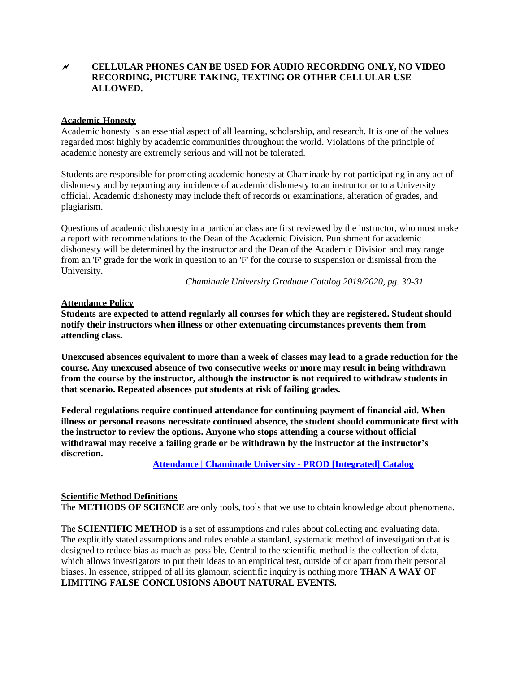# **CELLULAR PHONES CAN BE USED FOR AUDIO RECORDING ONLY, NO VIDEO RECORDING, PICTURE TAKING, TEXTING OR OTHER CELLULAR USE ALLOWED.**

### **Academic Honesty**

Academic honesty is an essential aspect of all learning, scholarship, and research. It is one of the values regarded most highly by academic communities throughout the world. Violations of the principle of academic honesty are extremely serious and will not be tolerated.

Students are responsible for promoting academic honesty at Chaminade by not participating in any act of dishonesty and by reporting any incidence of academic dishonesty to an instructor or to a University official. Academic dishonesty may include theft of records or examinations, alteration of grades, and plagiarism.

Questions of academic dishonesty in a particular class are first reviewed by the instructor, who must make a report with recommendations to the Dean of the Academic Division. Punishment for academic dishonesty will be determined by the instructor and the Dean of the Academic Division and may range from an 'F' grade for the work in question to an 'F' for the course to suspension or dismissal from the University.

*Chaminade University Graduate Catalog 2019/2020, pg. 30-31*

#### **Attendance Policy**

**Students are expected to attend regularly all courses for which they are registered. Student should notify their instructors when illness or other extenuating circumstances prevents them from attending class.**

**Unexcused absences equivalent to more than a week of classes may lead to a grade reduction for the course. Any unexcused absence of two consecutive weeks or more may result in being withdrawn from the course by the instructor, although the instructor is not required to withdraw students in that scenario. Repeated absences put students at risk of failing grades.**

**Federal regulations require continued attendance for continuing payment of financial aid. When illness or personal reasons necessitate continued absence, the student should communicate first with the instructor to review the options. Anyone who stops attending a course without official withdrawal may receive a failing grade or be withdrawn by the instructor at the instructor's discretion.**

**[Attendance | Chaminade University -](https://catalog.chaminade.edu/generalinformation/academicaffairs/policies/attendance) PROD [Integrated] Catalog**

#### **Scientific Method Definitions**

The **METHODS OF SCIENCE** are only tools, tools that we use to obtain knowledge about phenomena.

The **SCIENTIFIC METHOD** is a set of assumptions and rules about collecting and evaluating data. The explicitly stated assumptions and rules enable a standard, systematic method of investigation that is designed to reduce bias as much as possible. Central to the scientific method is the collection of data, which allows investigators to put their ideas to an empirical test, outside of or apart from their personal biases. In essence, stripped of all its glamour, scientific inquiry is nothing more **THAN A WAY OF LIMITING FALSE CONCLUSIONS ABOUT NATURAL EVENTS.**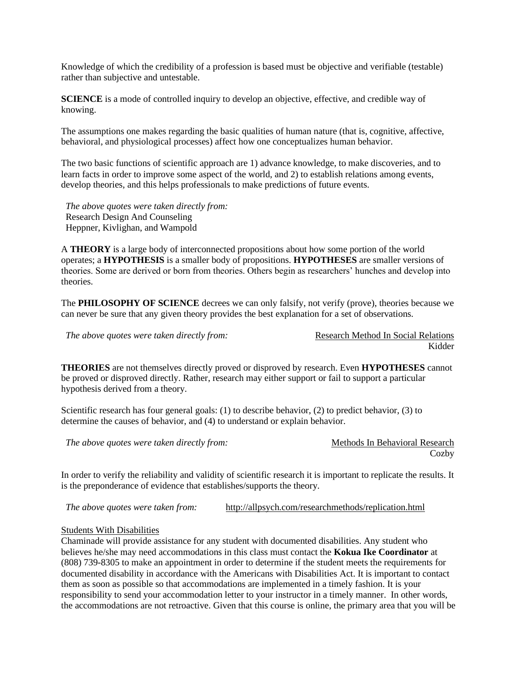Knowledge of which the credibility of a profession is based must be objective and verifiable (testable) rather than subjective and untestable.

**SCIENCE** is a mode of controlled inquiry to develop an objective, effective, and credible way of knowing.

The assumptions one makes regarding the basic qualities of human nature (that is, cognitive, affective, behavioral, and physiological processes) affect how one conceptualizes human behavior.

The two basic functions of scientific approach are 1) advance knowledge, to make discoveries, and to learn facts in order to improve some aspect of the world, and 2) to establish relations among events, develop theories, and this helps professionals to make predictions of future events.

*The above quotes were taken directly from:*  Research Design And Counseling Heppner, Kivlighan, and Wampold

A **THEORY** is a large body of interconnected propositions about how some portion of the world operates; a **HYPOTHESIS** is a smaller body of propositions. **HYPOTHESES** are smaller versions of theories. Some are derived or born from theories. Others begin as researchers' hunches and develop into theories.

The **PHILOSOPHY OF SCIENCE** decrees we can only falsify, not verify (prove), theories because we can never be sure that any given theory provides the best explanation for a set of observations.

*The above quotes were taken directly from:* Research Method In Social Relations

Kidder

**THEORIES** are not themselves directly proved or disproved by research. Even **HYPOTHESES** cannot be proved or disproved directly. Rather, research may either support or fail to support a particular hypothesis derived from a theory.

Scientific research has four general goals: (1) to describe behavior, (2) to predict behavior, (3) to determine the causes of behavior, and (4) to understand or explain behavior.

*The above quotes were taken directly from:* Methods In Behavioral Research

**Cozby** 

In order to verify the reliability and validity of scientific research it is important to replicate the results. It is the preponderance of evidence that establishes/supports the theory.

*The above quotes were taken from:* <http://allpsych.com/researchmethods/replication.html>

#### Students With Disabilities

Chaminade will provide assistance for any student with documented disabilities. Any student who believes he/she may need accommodations in this class must contact the **Kokua Ike Coordinator** at (808) 739-8305 to make an appointment in order to determine if the student meets the requirements for documented disability in accordance with the Americans with Disabilities Act. It is important to contact them as soon as possible so that accommodations are implemented in a timely fashion. It is your responsibility to send your accommodation letter to your instructor in a timely manner. In other words, the accommodations are not retroactive. Given that this course is online, the primary area that you will be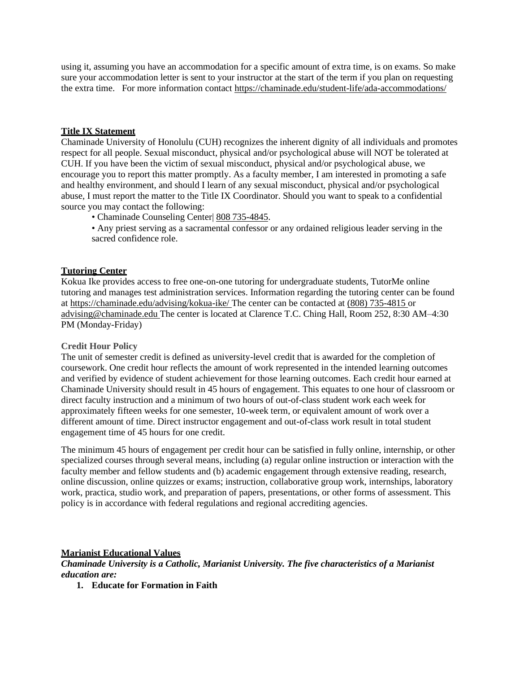using it, assuming you have an accommodation for a specific amount of extra time, is on exams. So make sure your accommodation letter is sent to your instructor at the start of the term if you plan on requesting the extra time. For more information contact<https://chaminade.edu/student-life/ada-accommodations/>

# **Title IX Statement**

Chaminade University of Honolulu (CUH) recognizes the inherent dignity of all individuals and promotes respect for all people. Sexual misconduct, physical and/or psychological abuse will NOT be tolerated at CUH. If you have been the victim of sexual misconduct, physical and/or psychological abuse, we encourage you to report this matter promptly. As a faculty member, I am interested in promoting a safe and healthy environment, and should I learn of any sexual misconduct, physical and/or psychological abuse, I must report the matter to the Title IX Coordinator. Should you want to speak to a confidential source you may contact the following:

• Chaminade Counseling Center 808 735-4845.

• Any priest serving as a sacramental confessor or any ordained religious leader serving in the sacred confidence role.

# **Tutoring Center**

Kokua Ike provides access to free one-on-one tutoring for undergraduate students, TutorMe online tutoring and manages test administration services. Information regarding the tutoring center can be found at<https://chaminade.edu/advising/kokua-ike/> The center can be contacted at (808) 735-4815 or [advising@chaminade.edu](mailto:advising@chaminade.edu) The center is located at Clarence T.C. Ching Hall, Room 252, 8:30 AM–4:30 PM (Monday-Friday)

#### **Credit Hour Policy**

The unit of semester credit is defined as university-level credit that is awarded for the completion of coursework. One credit hour reflects the amount of work represented in the intended learning outcomes and verified by evidence of student achievement for those learning outcomes. Each credit hour earned at Chaminade University should result in 45 hours of engagement. This equates to one hour of classroom or direct faculty instruction and a minimum of two hours of out-of-class student work each week for approximately fifteen weeks for one semester, 10-week term, or equivalent amount of work over a different amount of time. Direct instructor engagement and out-of-class work result in total student engagement time of 45 hours for one credit.

The minimum 45 hours of engagement per credit hour can be satisfied in fully online, internship, or other specialized courses through several means, including (a) regular online instruction or interaction with the faculty member and fellow students and (b) academic engagement through extensive reading, research, online discussion, online quizzes or exams; instruction, collaborative group work, internships, laboratory work, practica, studio work, and preparation of papers, presentations, or other forms of assessment. This policy is in accordance with federal regulations and regional accrediting agencies.

#### **Marianist Educational Values**

*Chaminade University is a Catholic, Marianist University. The five characteristics of a Marianist education are:*

**1. Educate for Formation in Faith**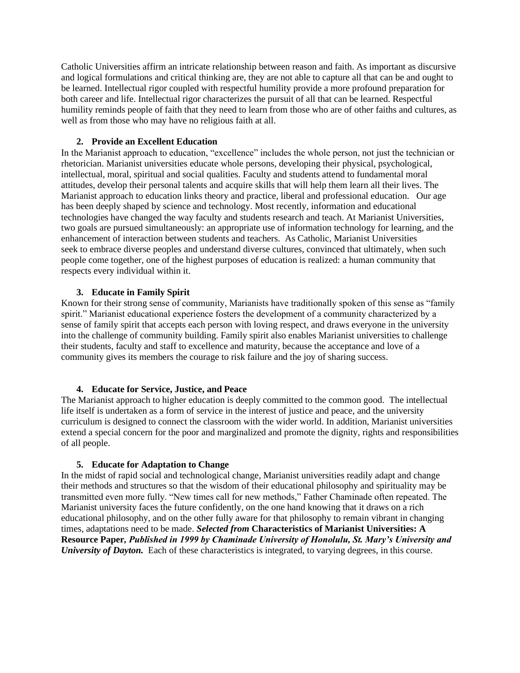Catholic Universities affirm an intricate relationship between reason and faith. As important as discursive and logical formulations and critical thinking are, they are not able to capture all that can be and ought to be learned. Intellectual rigor coupled with respectful humility provide a more profound preparation for both career and life. Intellectual rigor characterizes the pursuit of all that can be learned. Respectful humility reminds people of faith that they need to learn from those who are of other faiths and cultures, as well as from those who may have no religious faith at all.

# **2. Provide an Excellent Education**

In the Marianist approach to education, "excellence" includes the whole person, not just the technician or rhetorician. Marianist universities educate whole persons, developing their physical, psychological, intellectual, moral, spiritual and social qualities. Faculty and students attend to fundamental moral attitudes, develop their personal talents and acquire skills that will help them learn all their lives. The Marianist approach to education links theory and practice, liberal and professional education. Our age has been deeply shaped by science and technology. Most recently, information and educational technologies have changed the way faculty and students research and teach. At Marianist Universities, two goals are pursued simultaneously: an appropriate use of information technology for learning, and the enhancement of interaction between students and teachers. As Catholic, Marianist Universities seek to embrace diverse peoples and understand diverse cultures, convinced that ultimately, when such people come together, one of the highest purposes of education is realized: a human community that respects every individual within it.

# **3. Educate in Family Spirit**

Known for their strong sense of community, Marianists have traditionally spoken of this sense as "family spirit." Marianist educational experience fosters the development of a community characterized by a sense of family spirit that accepts each person with loving respect, and draws everyone in the university into the challenge of community building. Family spirit also enables Marianist universities to challenge their students, faculty and staff to excellence and maturity, because the acceptance and love of a community gives its members the courage to risk failure and the joy of sharing success.

# **4. Educate for Service, Justice, and Peace**

The Marianist approach to higher education is deeply committed to the common good. The intellectual life itself is undertaken as a form of service in the interest of justice and peace, and the university curriculum is designed to connect the classroom with the wider world. In addition, Marianist universities extend a special concern for the poor and marginalized and promote the dignity, rights and responsibilities of all people.

# **5. Educate for Adaptation to Change**

In the midst of rapid social and technological change, Marianist universities readily adapt and change their methods and structures so that the wisdom of their educational philosophy and spirituality may be transmitted even more fully. "New times call for new methods," Father Chaminade often repeated. The Marianist university faces the future confidently, on the one hand knowing that it draws on a rich educational philosophy, and on the other fully aware for that philosophy to remain vibrant in changing times, adaptations need to be made. *Selected from* **Characteristics of Marianist Universities: A Resource Paper***, Published in 1999 by Chaminade University of Honolulu, St. Mary's University and University of Dayton.* Each of these characteristics is integrated, to varying degrees, in this course.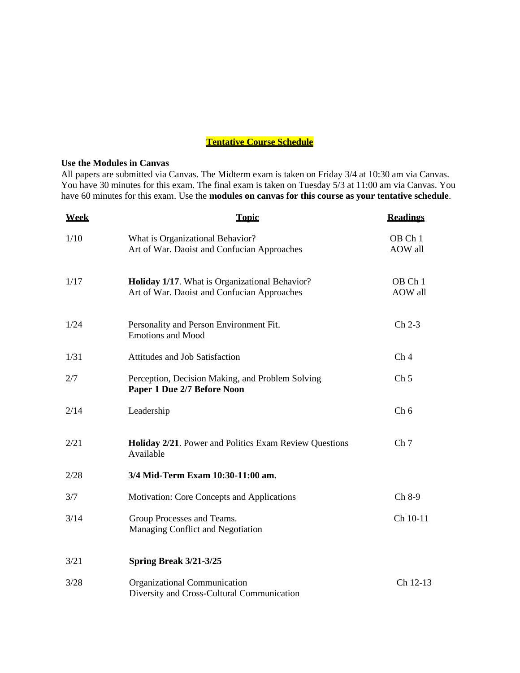# **Tentative Course Schedule**

#### **Use the Modules in Canvas**

All papers are submitted via Canvas. The Midterm exam is taken on Friday 3/4 at 10:30 am via Canvas. You have 30 minutes for this exam. The final exam is taken on Tuesday 5/3 at 11:00 am via Canvas. You have 60 minutes for this exam. Use the **modules on canvas for this course as your tentative schedule**.

| <b>Week</b> | <b>Topic</b>                                                                                  | <b>Readings</b>    |
|-------------|-----------------------------------------------------------------------------------------------|--------------------|
| 1/10        | What is Organizational Behavior?<br>Art of War. Daoist and Confucian Approaches               | OB Ch 1<br>AOW all |
| 1/17        | Holiday 1/17. What is Organizational Behavior?<br>Art of War. Daoist and Confucian Approaches | OB Ch 1<br>AOW all |
| 1/24        | Personality and Person Environment Fit.<br><b>Emotions and Mood</b>                           | $Ch 2-3$           |
| 1/31        | Attitudes and Job Satisfaction                                                                | Ch <sub>4</sub>    |
| 2/7         | Perception, Decision Making, and Problem Solving<br>Paper 1 Due 2/7 Before Noon               | Ch <sub>5</sub>    |
| 2/14        | Leadership                                                                                    | Ch 6               |
| 2/21        | Holiday 2/21. Power and Politics Exam Review Questions<br>Available                           | Ch <sub>7</sub>    |
| 2/28        | 3/4 Mid-Term Exam 10:30-11:00 am.                                                             |                    |
| 3/7         | Motivation: Core Concepts and Applications                                                    | Ch 8-9             |
| 3/14        | Group Processes and Teams.<br>Managing Conflict and Negotiation                               | Ch 10-11           |
| 3/21        | Spring Break 3/21-3/25                                                                        |                    |
| 3/28        | Organizational Communication<br>Diversity and Cross-Cultural Communication                    | Ch 12-13           |